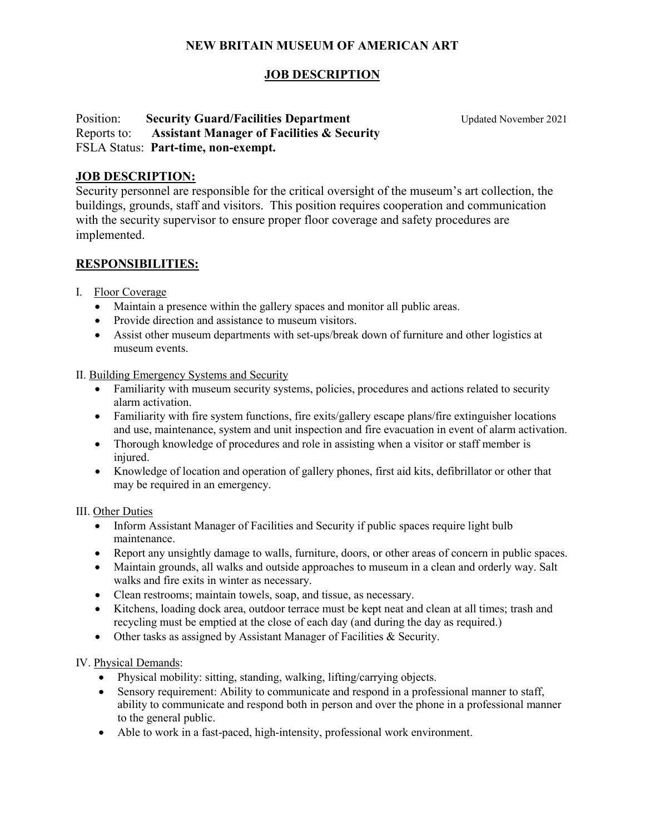# **NEW BRITAIN MUSEUM OF AMERICAN ART**

# **JOB DESCRIPTION**

### **Position: Security Guard/Facilities Department** Updated November 2021 Reports to: **Assistant Manager of Facilities & Security** FSLA Status: **Part-time, non-exempt.**

### **JOB DESCRIPTION:**

Security personnel are responsible for the critical oversight of the museum's art collection, the buildings, grounds, staff and visitors. This position requires cooperation and communication with the security supervisor to ensure proper floor coverage and safety procedures are implemented.

## **RESPONSIBILITIES:**

- I. Floor Coverage
	- Maintain a presence within the gallery spaces and monitor all public areas.
	- Provide direction and assistance to museum visitors.
	- Assist other museum departments with set-ups/break down of furniture and other logistics at museum events.

#### II. Building Emergency Systems and Security

- Familiarity with museum security systems, policies, procedures and actions related to security alarm activation.
- Familiarity with fire system functions, fire exits/gallery escape plans/fire extinguisher locations and use, maintenance, system and unit inspection and fire evacuation in event of alarm activation.
- Thorough knowledge of procedures and role in assisting when a visitor or staff member is injured.
- Knowledge of location and operation of gallery phones, first aid kits, defibrillator or other that may be required in an emergency.

III. Other Duties

- Inform Assistant Manager of Facilities and Security if public spaces require light bulb maintenance.
- Report any unsightly damage to walls, furniture, doors, or other areas of concern in public spaces.
- Maintain grounds, all walks and outside approaches to museum in a clean and orderly way. Salt walks and fire exits in winter as necessary.
- Clean restrooms; maintain towels, soap, and tissue, as necessary.
- Kitchens, loading dock area, outdoor terrace must be kept neat and clean at all times; trash and recycling must be emptied at the close of each day (and during the day as required.)
- Other tasks as assigned by Assistant Manager of Facilities & Security.

IV. Physical Demands:

- Physical mobility: sitting, standing, walking, lifting/carrying objects.
- Sensory requirement: Ability to communicate and respond in a professional manner to staff, ability to communicate and respond both in person and over the phone in a professional manner to the general public.
- Able to work in a fast-paced, high-intensity, professional work environment.